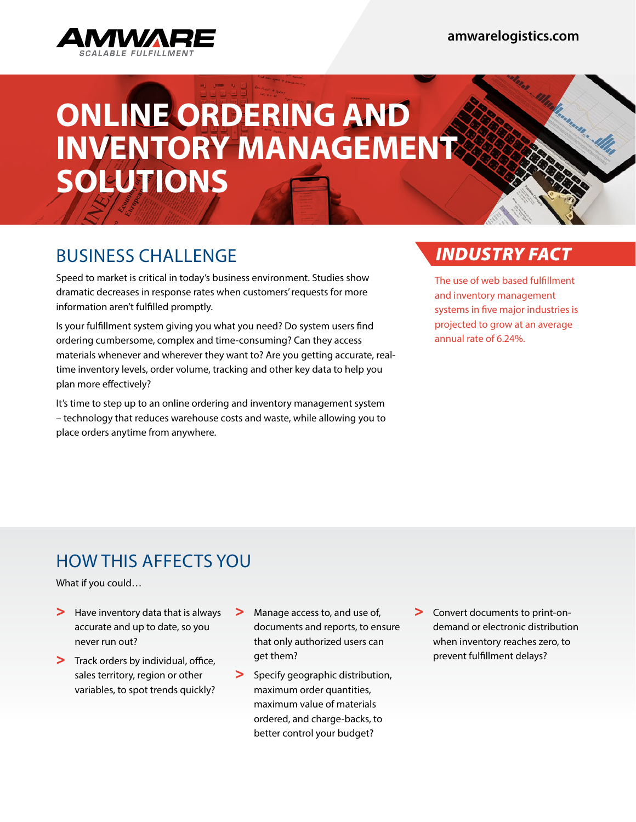

# **ONLINE ORDERING AND INVENTORY MANAGEMENT SOLUTIONS**

# BUSINESS CHALLENGE

Speed to market is critical in today's business environment. Studies show dramatic decreases in response rates when customers' requests for more information aren't fulfilled promptly.

Is your fulfillment system giving you what you need? Do system users find ordering cumbersome, complex and time-consuming? Can they access materials whenever and wherever they want to? Are you getting accurate, realtime inventory levels, order volume, tracking and other key data to help you plan more effectively?

It's time to step up to an online ordering and inventory management system – technology that reduces warehouse costs and waste, while allowing you to place orders anytime from anywhere.

## *INDUSTRY FACT*

The use of web based fulfillment and inventory management systems in five major industries is projected to grow at an average annual rate of 6.24%.

# HOW THIS AFFECTS YOU

What if you could…

- > Have inventory data that is always accurate and up to date, so you never run out?
- > Track orders by individual, office, sales territory, region or other variables, to spot trends quickly?
- > Manage access to, and use of, documents and reports, to ensure that only authorized users can get them?
- > Specify geographic distribution, maximum order quantities, maximum value of materials ordered, and charge-backs, to better control your budget?
- > Convert documents to print-ondemand or electronic distribution when inventory reaches zero, to prevent fulfillment delays?